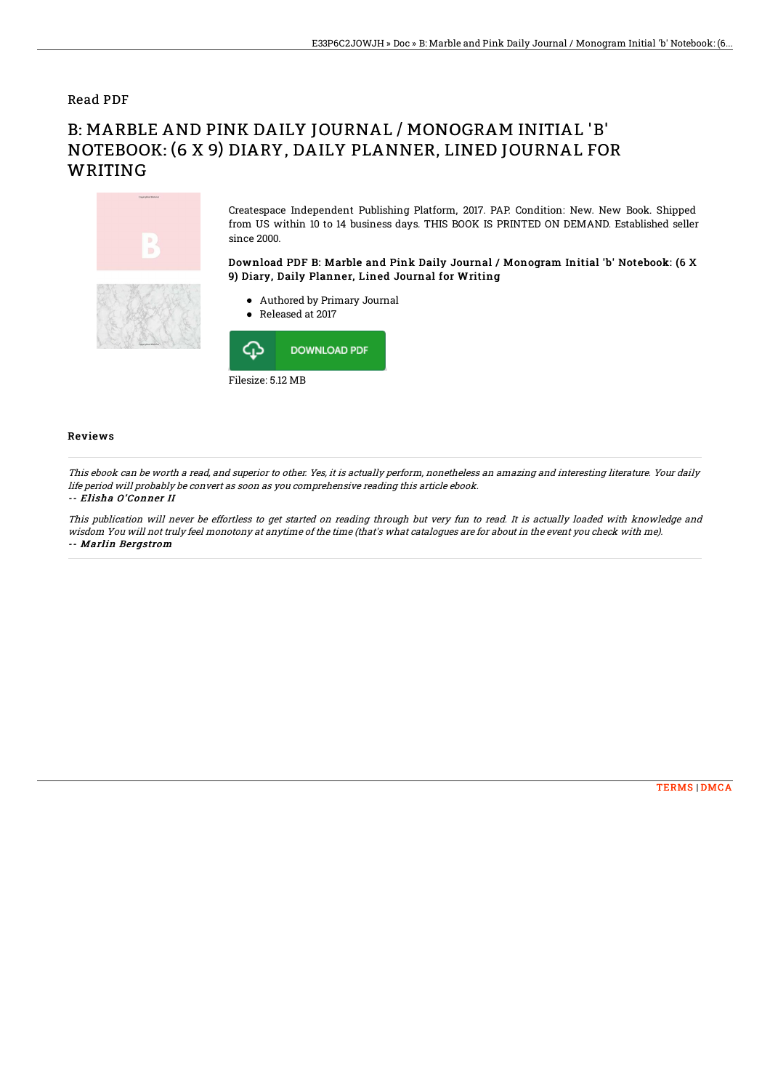## Read PDF

# B: MARBLE AND PINK DAILY JOURNAL / MONOGRAM INITIAL 'B' NOTEBOOK: (6 X 9) DIARY, DAILY PLANNER, LINED JOURNAL FOR WRITING



Createspace Independent Publishing Platform, 2017. PAP. Condition: New. New Book. Shipped from US within 10 to 14 business days. THIS BOOK IS PRINTED ON DEMAND. Established seller since 2000.

## Download PDF B: Marble and Pink Daily Journal / Monogram Initial 'b' Notebook: (6 X 9) Diary, Daily Planner, Lined Journal for Writing

- Authored by Primary Journal
- Released at 2017



### Reviews

This ebook can be worth <sup>a</sup> read, and superior to other. Yes, it is actually perform, nonetheless an amazing and interesting literature. Your daily life period will probably be convert as soon as you comprehensive reading this article ebook.

#### -- Elisha O'Conner II

This publication will never be effortless to get started on reading through but very fun to read. It is actually loaded with knowledge and wisdom You will not truly feel monotony at anytime of the time (that's what catalogues are for about in the event you check with me). -- Marlin Bergstrom